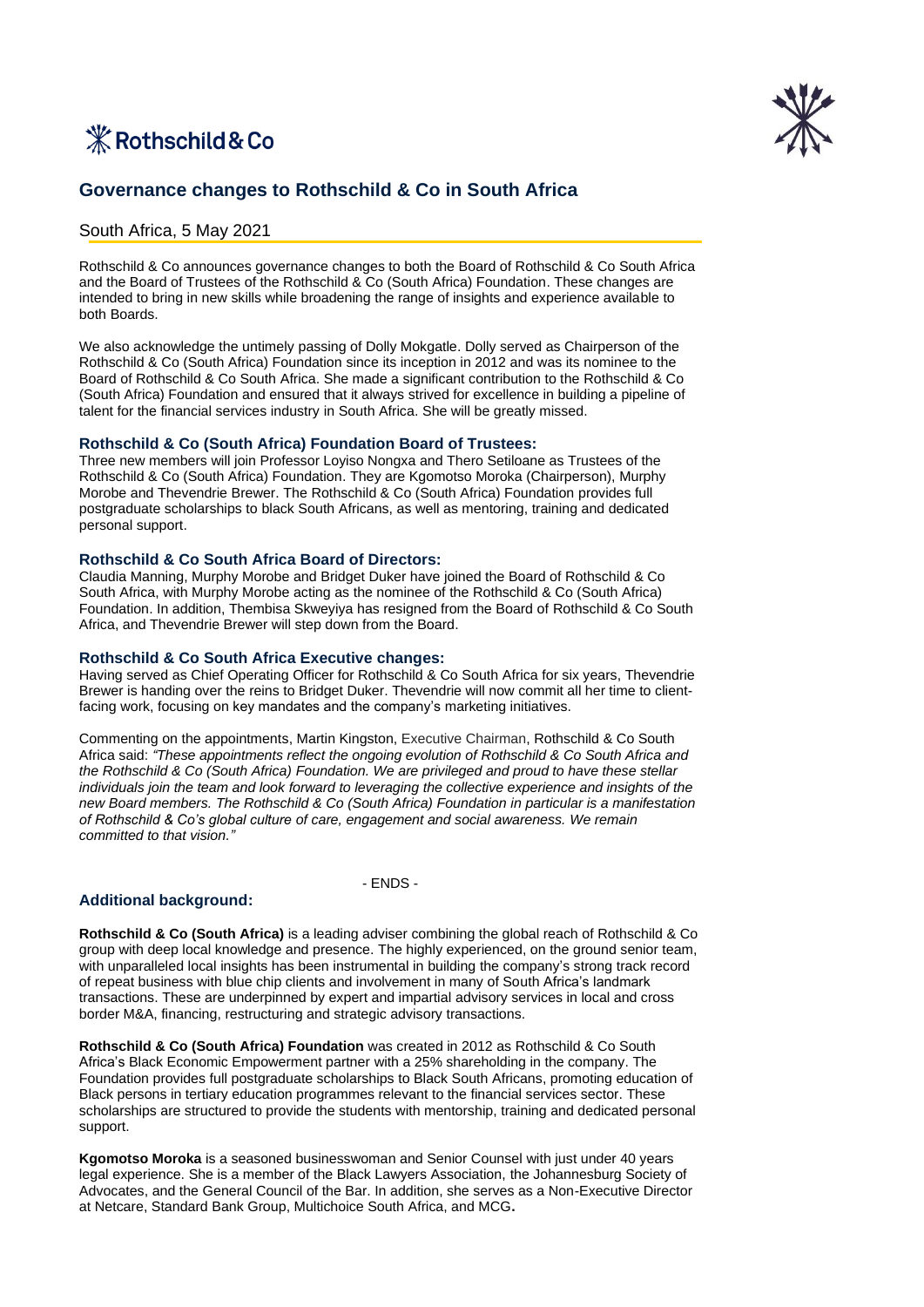



# **Governance changes to Rothschild & Co in South Africa**

## South Africa, 5 May 2021

Rothschild & Co announces governance changes to both the Board of Rothschild & Co South Africa and the Board of Trustees of the Rothschild & Co (South Africa) Foundation. These changes are intended to bring in new skills while broadening the range of insights and experience available to both Boards.

We also acknowledge the untimely passing of Dolly Mokgatle. Dolly served as Chairperson of the Rothschild & Co (South Africa) Foundation since its inception in 2012 and was its nominee to the Board of Rothschild & Co South Africa. She made a significant contribution to the Rothschild & Co (South Africa) Foundation and ensured that it always strived for excellence in building a pipeline of talent for the financial services industry in South Africa. She will be greatly missed.

### **Rothschild & Co (South Africa) Foundation Board of Trustees:**

Three new members will join Professor Loyiso Nongxa and Thero Setiloane as Trustees of the Rothschild & Co (South Africa) Foundation. They are Kgomotso Moroka (Chairperson), Murphy Morobe and Thevendrie Brewer. The Rothschild & Co (South Africa) Foundation provides full postgraduate scholarships to black South Africans, as well as mentoring, training and dedicated personal support.

### **Rothschild & Co South Africa Board of Directors:**

Claudia Manning, Murphy Morobe and Bridget Duker have joined the Board of Rothschild & Co South Africa, with Murphy Morobe acting as the nominee of the Rothschild & Co (South Africa) Foundation. In addition, Thembisa Skweyiya has resigned from the Board of Rothschild & Co South Africa, and Thevendrie Brewer will step down from the Board.

## **Rothschild & Co South Africa Executive changes:**

Having served as Chief Operating Officer for Rothschild & Co South Africa for six years, Thevendrie Brewer is handing over the reins to Bridget Duker. Thevendrie will now commit all her time to clientfacing work, focusing on key mandates and the company's marketing initiatives.

Commenting on the appointments, Martin Kingston, Executive Chairman, Rothschild & Co South Africa said: *"These appointments reflect the ongoing evolution of Rothschild & Co South Africa and the Rothschild & Co (South Africa) Foundation. We are privileged and proud to have these stellar individuals join the team and look forward to leveraging the collective experience and insights of the new Board members. The Rothschild & Co (South Africa) Foundation in particular is a manifestation of Rothschild & Co's global culture of care, engagement and social awareness. We remain committed to that vision."*

# **Additional background:**

- ENDS -

**Rothschild & Co (South Africa)** is a leading adviser combining the global reach of Rothschild & Co group with deep local knowledge and presence. The highly experienced, on the ground senior team, with unparalleled local insights has been instrumental in building the company's strong track record of repeat business with blue chip clients and involvement in many of South Africa's landmark transactions. These are underpinned by expert and impartial advisory services in local and cross border M&A, financing, restructuring and strategic advisory transactions.

**Rothschild & Co (South Africa) Foundation** was created in 2012 as Rothschild & Co South Africa's Black Economic Empowerment partner with a 25% shareholding in the company. The Foundation provides full postgraduate scholarships to Black South Africans, promoting education of Black persons in tertiary education programmes relevant to the financial services sector. These scholarships are structured to provide the students with mentorship, training and dedicated personal support.

**Kgomotso Moroka** is a seasoned businesswoman and Senior Counsel with just under 40 years legal experience. She is a member of the Black Lawyers Association, the Johannesburg Society of Advocates, and the General Council of the Bar. In addition, she serves as a Non-Executive Director at Netcare, Standard Bank Group, Multichoice South Africa, and MCG**.**